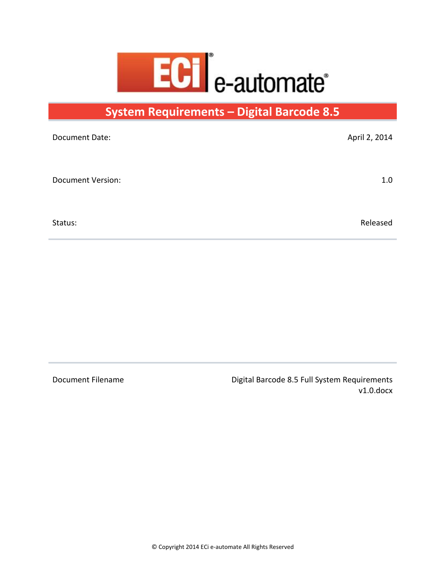

**System Requirements – Digital Barcode 8.5**

| April 2, 2014 |
|---------------|
|               |
| 1.0           |
|               |
| Released      |
|               |

Document Filename **Digital Barcode 8.5 Full System Requirements** v1.0.docx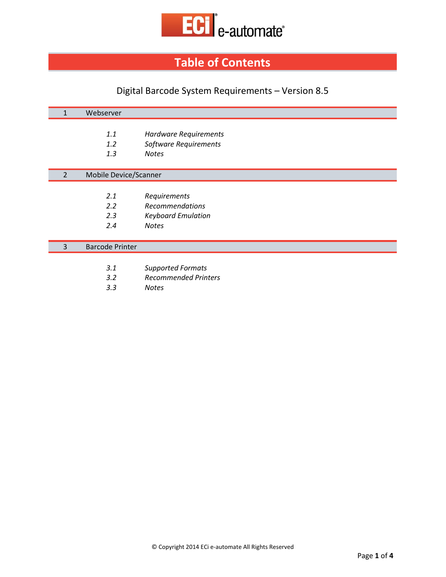

# **Table of Contents**

## Digital Barcode System Requirements – Version 8.5

| 1              | Webserver              |                              |
|----------------|------------------------|------------------------------|
|                |                        |                              |
|                | 1.1                    | Hardware Requirements        |
|                | 1.2                    | <b>Software Requirements</b> |
|                | 1.3                    | <b>Notes</b>                 |
|                |                        |                              |
| $\overline{2}$ | Mobile Device/Scanner  |                              |
|                |                        |                              |
|                | 2.1                    | Requirements                 |
|                | 2.2                    | Recommendations              |
|                | 2.3                    | <b>Keyboard Emulation</b>    |
|                | 2.4                    | <b>Notes</b>                 |
|                |                        |                              |
| 3              | <b>Barcode Printer</b> |                              |
|                |                        |                              |
|                | 3.1                    | <b>Supported Formats</b>     |

- *3.2 Recommended Printers*
- *3.3 Notes*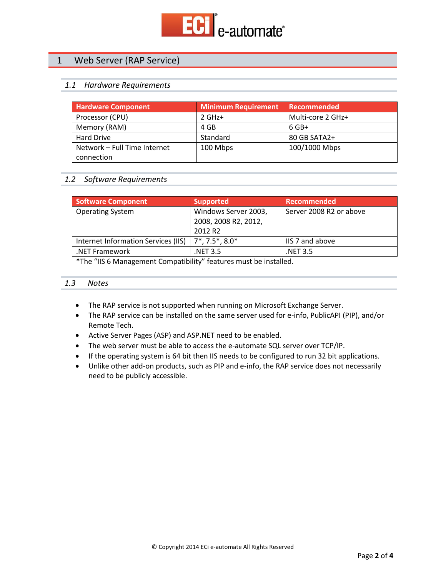

## 1 Web Server (RAP Service)

#### *1.1 Hardware Requirements*

| <b>Hardware Component</b>    | Minimum Requirement | Recommended       |
|------------------------------|---------------------|-------------------|
| Processor (CPU)              | $2$ GHz+            | Multi-core 2 GHz+ |
| Memory (RAM)                 | 4 GB                | $6$ GB+           |
| <b>Hard Drive</b>            | Standard            | 80 GB SATA2+      |
| Network - Full Time Internet | 100 Mbps            | 100/1000 Mbps     |
| connection                   |                     |                   |

#### *1.2 Software Requirements*

| Software Component                  | <b>Supported</b>            | <b>Recommended</b>      |
|-------------------------------------|-----------------------------|-------------------------|
| <b>Operating System</b>             | Windows Server 2003,        | Server 2008 R2 or above |
|                                     | 2008, 2008 R2, 2012,        |                         |
|                                     | 2012 R <sub>2</sub>         |                         |
| Internet Information Services (IIS) | $7^*$ , 7.5 $^*$ , 8.0 $^*$ | <b>IIS</b> 7 and above  |
| .NET Framework                      | NET 3.5.                    | NET 3.5.                |

\*The "IIS 6 Management Compatibility" features must be installed.

#### *1.3 Notes*

- The RAP service is not supported when running on Microsoft Exchange Server.
- The RAP service can be installed on the same server used for e-info, PublicAPI (PIP), and/or Remote Tech.
- Active Server Pages (ASP) and ASP.NET need to be enabled.
- The web server must be able to access the e-automate SQL server over TCP/IP.
- If the operating system is 64 bit then IIS needs to be configured to run 32 bit applications.
- Unlike other add-on products, such as PIP and e-info, the RAP service does not necessarily need to be publicly accessible.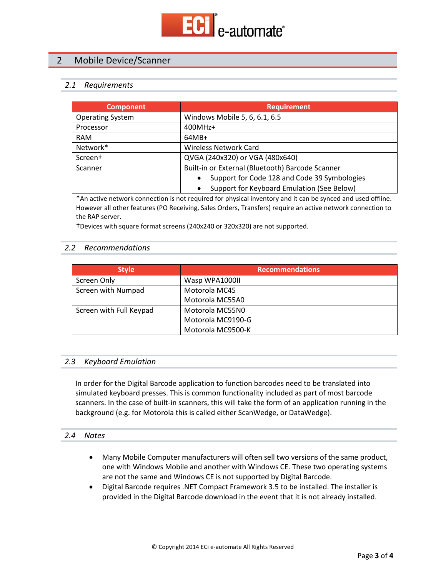

## 2 Mobile Device/Scanner

#### *2.1 Requirements*

| <b>Component</b>        | <b>Requirement</b>                               |  |
|-------------------------|--------------------------------------------------|--|
| <b>Operating System</b> | Windows Mobile 5, 6, 6.1, 6.5                    |  |
| Processor               | 400MHz+                                          |  |
| <b>RAM</b>              | $64MB+$                                          |  |
| Network*                | <b>Wireless Network Card</b>                     |  |
| Screen <sup>+</sup>     | QVGA (240x320) or VGA (480x640)                  |  |
| Scanner                 | Built-in or External (Bluetooth) Barcode Scanner |  |
|                         | Support for Code 128 and Code 39 Symbologies     |  |
|                         | Support for Keyboard Emulation (See Below)       |  |

\*An active network connection is not required for physical inventory and it can be synced and used offline. However all other features (PO Receiving, Sales Orders, Transfers) require an active network connection to the RAP server.

†Devices with square format screens (240x240 or 320x320) are not supported.

#### *2.2 Recommendations*

| <b>Style</b>            | <b>Recommendations</b> |
|-------------------------|------------------------|
| Screen Only             | Wasp WPA1000II         |
| Screen with Numpad      | Motorola MC45          |
|                         | Motorola MC55A0        |
| Screen with Full Keypad | Motorola MC55N0        |
|                         | Motorola MC9190-G      |
|                         | Motorola MC9500-K      |

#### *2.3 Keyboard Emulation*

In order for the Digital Barcode application to function barcodes need to be translated into simulated keyboard presses. This is common functionality included as part of most barcode scanners. In the case of built-in scanners, this will take the form of an application running in the background (e.g. for Motorola this is called either ScanWedge, or DataWedge).

#### *2.4 Notes*

- Many Mobile Computer manufacturers will often sell two versions of the same product, one with Windows Mobile and another with Windows CE. These two operating systems are not the same and Windows CE is not supported by Digital Barcode.
- Digital Barcode requires .NET Compact Framework 3.5 to be installed. The installer is provided in the Digital Barcode download in the event that it is not already installed.